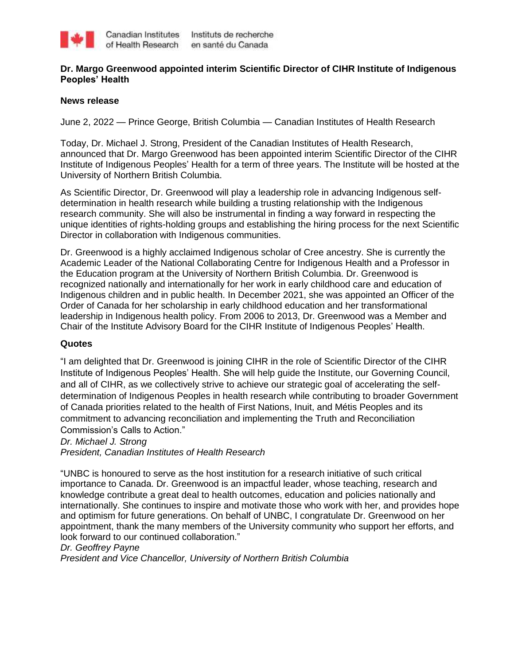

## **Dr. Margo Greenwood appointed interim Scientific Director of CIHR Institute of Indigenous Peoples' Health**

#### **News release**

June 2, 2022 — Prince George, British Columbia — Canadian Institutes of Health Research

Today, Dr. Michael J. Strong, President of the Canadian Institutes of Health Research, announced that Dr. Margo Greenwood has been appointed interim Scientific Director of the CIHR Institute of Indigenous Peoples' Health for a term of three years. The Institute will be hosted at the University of Northern British Columbia.

As Scientific Director, Dr. Greenwood will play a leadership role in advancing Indigenous selfdetermination in health research while building a trusting relationship with the Indigenous research community. She will also be instrumental in finding a way forward in respecting the unique identities of rights-holding groups and establishing the hiring process for the next Scientific Director in collaboration with Indigenous communities.

Dr. Greenwood is a highly acclaimed Indigenous scholar of Cree ancestry. She is currently the Academic Leader of the National Collaborating Centre for Indigenous Health and a Professor in the Education program at the University of Northern British Columbia. Dr. Greenwood is recognized nationally and internationally for her work in early childhood care and education of Indigenous children and in public health. In December 2021, she was appointed an Officer of the Order of Canada for her scholarship in early childhood education and her transformational leadership in Indigenous health policy. From 2006 to 2013, Dr. Greenwood was a Member and Chair of the Institute Advisory Board for the CIHR Institute of Indigenous Peoples' Health.

### **Quotes**

"I am delighted that Dr. Greenwood is joining CIHR in the role of Scientific Director of the CIHR Institute of Indigenous Peoples' Health. She will help guide the Institute, our Governing Council, and all of CIHR, as we collectively strive to achieve our strategic goal of accelerating the selfdetermination of Indigenous Peoples in health research while contributing to broader Government of Canada priorities related to the health of First Nations, Inuit, and Métis Peoples and its commitment to advancing reconciliation and implementing the Truth and Reconciliation Commission's Calls to Action."

*Dr. Michael J. Strong*

*President, Canadian Institutes of Health Research*

"UNBC is honoured to serve as the host institution for a research initiative of such critical importance to Canada. Dr. Greenwood is an impactful leader, whose teaching, research and knowledge contribute a great deal to health outcomes, education and policies nationally and internationally. She continues to inspire and motivate those who work with her, and provides hope and optimism for future generations. On behalf of UNBC, I congratulate Dr. Greenwood on her appointment, thank the many members of the University community who support her efforts, and look forward to our continued collaboration."

#### *Dr. Geoffrey Payne*

*President and Vice Chancellor, University of Northern British Columbia*